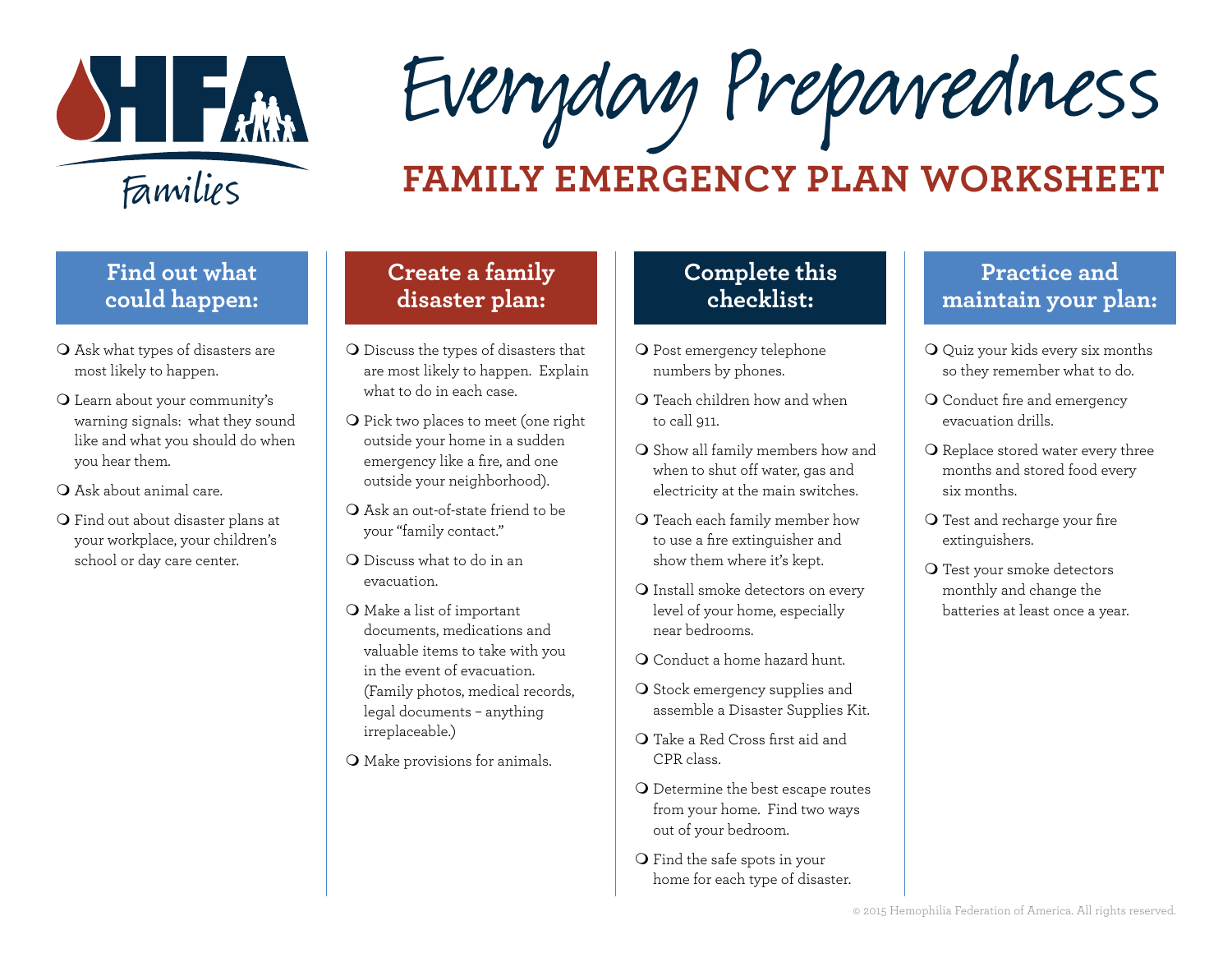

Everyday Preparedness

# **FAMILY EMERGENCY PLAN WORKSHEET**

## **Find out what could happen:**

- O Ask what types of disasters are most likely to happen.
- O Learn about your community's warning signals: what they sound like and what you should do when you hear them.
- O Ask about animal care.
- **Q** Find out about disaster plans at your workplace, your children's school or day care center.

#### **Create a family disaster plan:**

- **Q** Discuss the types of disasters that are most likely to happen. Explain what to do in each case.
- **Q** Pick two places to meet (one right outside your home in a sudden emergency like a fire, and one outside your neighborhood).
- $\bigcirc$  Ask an out-of-state friend to be your "family contact."
- **Q** Discuss what to do in an evacuation.
- $\bigcirc$  Make a list of important documents, medications and valuable items to take with you in the event of evacuation. (Family photos, medical records, legal documents – anything irreplaceable.)
- O Make provisions for animals.

### **Complete this checklist:**

- **O** Post emergency telephone numbers by phones.
- $\Omega$  Teach children how and when to call 911.
- O Show all family members how and when to shut off water, gas and electricity at the main switches.
- **Q** Teach each family member how to use a fire extinguisher and show them where it's kept.
- **Q** Install smoke detectors on every level of your home, especially near bedrooms.
- Q Conduct a home hazard hunt.
- O Stock emergency supplies and assemble a Disaster Supplies Kit.
- **Q** Take a Red Cross first aid and CPR class.
- O Determine the best escape routes from your home. Find two ways out of your bedroom.
- $\bigcirc$  Find the safe spots in your home for each type of disaster.

#### **Practice and maintain your plan:**

- $\mathbf Q$  Quiz your kids every six months so they remember what to do.
- O Conduct fire and emergency evacuation drills.
- O Replace stored water every three months and stored food every six months.
- **Q** Test and recharge your fire extinguishers.
- **Q** Test your smoke detectors monthly and change the batteries at least once a year.